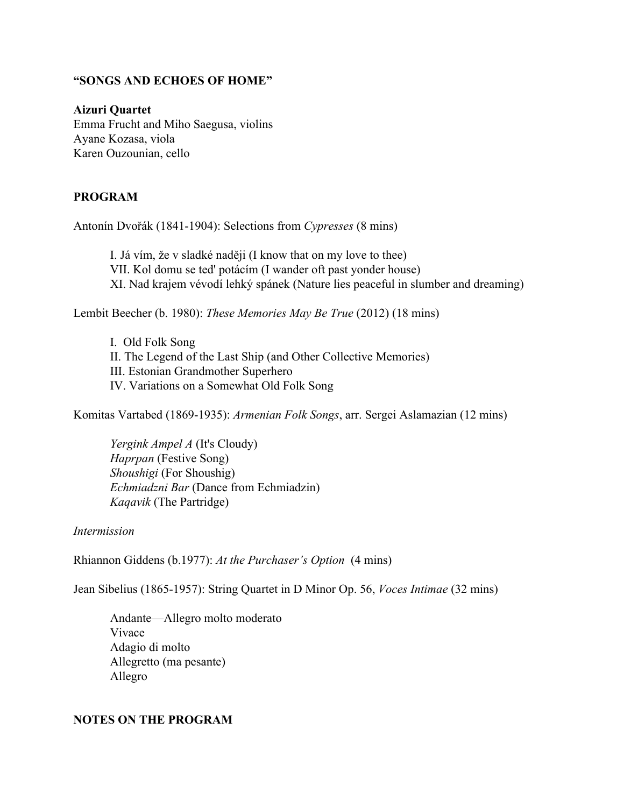## **"SONGS AND ECHOES OF HOME"**

**Aizuri Quartet** Emma Frucht and Miho Saegusa, violins Ayane Kozasa, viola Karen Ouzounian, cello

## **PROGRAM**

Antonín Dvořák (1841-1904): Selections from *Cypresses* (8 mins)

I. Já vím, že v sladké naději (I know that on my love to thee) VII. Kol domu se ted' potácím (I wander oft past yonder house) XI. Nad krajem vévodí lehký spánek (Nature lies peaceful in slumber and dreaming)

Lembit Beecher (b. 1980): *These Memories May Be True* (2012) (18 mins)

I. Old Folk Song II. The Legend of the Last Ship (and Other Collective Memories) III. Estonian Grandmother Superhero IV. Variations on a Somewhat Old Folk Song

Komitas Vartabed (1869-1935): *Armenian Folk Songs*, arr. Sergei Aslamazian (12 mins)

*Yergink Ampel A* (It's Cloudy) *Haprpan* (Festive Song) *Shoushigi* (For Shoushig) *Echmiadzni Bar* (Dance from Echmiadzin) *Kaqavik* (The Partridge)

## *Intermission*

Rhiannon Giddens (b.1977): *At the Purchaser's Option* (4 mins)

Jean Sibelius (1865-1957): String Quartet in D Minor Op. 56, *Voces Intimae* (32 mins)

Andante—Allegro molto moderato Vivace Adagio di molto Allegretto (ma pesante) Allegro

## **NOTES ON THE PROGRAM**